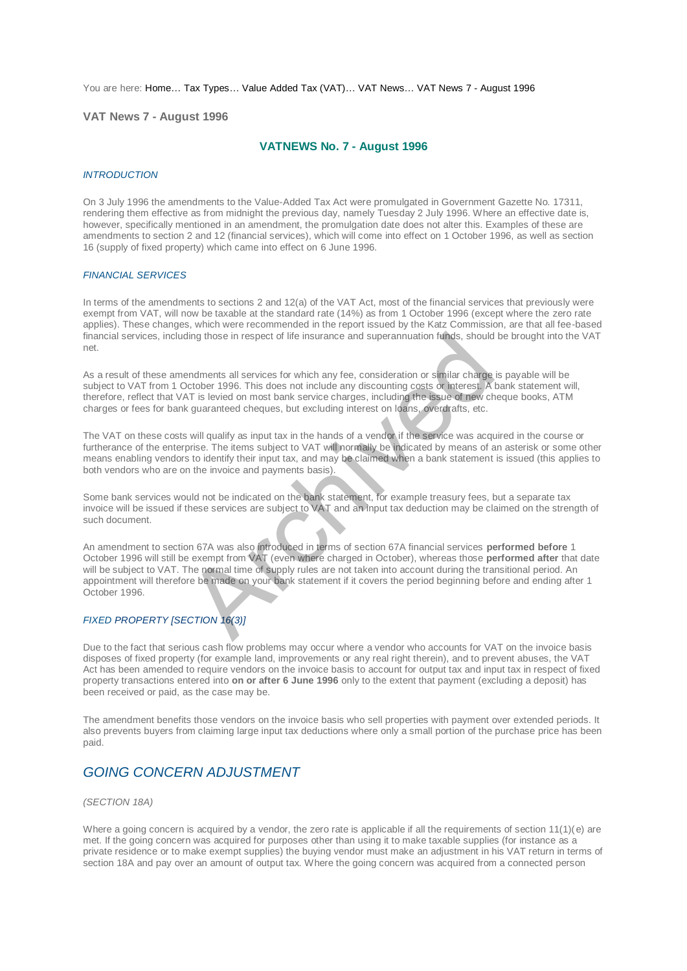You are here: [Home…](http://196.38.114.171/home.asp?pid=1) [Tax Types…](http://196.38.114.171/home.asp?pid=161) [Value Added Tax \(VAT\)…](http://196.38.114.171/home.asp?pid=194) [VAT News…](http://196.38.114.171/home.asp?pid=4722) [VAT News 7 - August 1996](http://196.38.114.171/home.asp?pid=47309) 

**VAT News 7 - August 1996** 

# **VATNEWS No. 7 - August 1996**

### *INTRODUCTION*

On 3 July 1996 the amendments to the Value-Added Tax Act were promulgated in Government Gazette No. 17311, rendering them effective as from midnight the previous day, namely Tuesday 2 July 1996. Where an effective date is, however, specifically mentioned in an amendment, the promulgation date does not alter this. Examples of these are amendments to section 2 and 12 (financial services), which will come into effect on 1 October 1996, as well as section 16 (supply of fixed property) which came into effect on 6 June 1996.

#### *FINANCIAL SERVICES*

In terms of the amendments to sections 2 and 12(a) of the VAT Act, most of the financial services that previously were exempt from VAT, will now be taxable at the standard rate (14%) as from 1 October 1996 (except where the zero rate applies). These changes, which were recommended in the report issued by the Katz Commission, are that all fee-based financial services, including those in respect of life insurance and superannuation funds, should be brought into the VAT net.

As a result of these amendments all services for which any fee, consideration or similar charge is payable will be subject to VAT from 1 October 1996. This does not include any discounting costs or interest. A bank statement will, therefore, reflect that VAT is levied on most bank service charges, including the issue of new cheque books, ATM charges or fees for bank guaranteed cheques, but excluding interest on loans, overdrafts, etc.

The VAT on these costs will qualify as input tax in the hands of a vendor if the service was acquired in the course or furtherance of the enterprise. The items subject to VAT will normally be indicated by means of an asterisk or some other means enabling vendors to identify their input tax, and may be claimed when a bank statement is issued (this applies to both vendors who are on the invoice and payments basis).

Some bank services would not be indicated on the bank statement, for example treasury fees, but a separate tax invoice will be issued if these services are subject to VAT and an input tax deduction may be claimed on the strength of such document.

An amendment to section 67A was also introduced in terms of section 67A financial services **performed before** 1 October 1996 will still be exempt from VAT (even where charged in October), whereas those **performed after** that date will be subject to VAT. The normal time of supply rules are not taken into account during the transitional period. An appointment will therefore be made on your bank statement if it covers the period beginning before and ending after 1 October 1996. ding those in respect of life insurance and superannuation funds, should<br>endments all services for which any fee, consideration or similar charge<br>October 1996. This does not include any discounting costs or interest. A<br>AT

## *FIXED PROPERTY [SECTION 16(3)]*

Due to the fact that serious cash flow problems may occur where a vendor who accounts for VAT on the invoice basis disposes of fixed property (for example land, improvements or any real right therein), and to prevent abuses, the VAT Act has been amended to require vendors on the invoice basis to account for output tax and input tax in respect of fixed property transactions entered into **on or after 6 June 1996** only to the extent that payment (excluding a deposit) has been received or paid, as the case may be.

The amendment benefits those vendors on the invoice basis who sell properties with payment over extended periods. It also prevents buyers from claiming large input tax deductions where only a small portion of the purchase price has been paid.

# *GOING CONCERN ADJUSTMENT*

### *(SECTION 18A)*

Where a going concern is acquired by a vendor, the zero rate is applicable if all the requirements of section  $11(1)(e)$  are met. If the going concern was acquired for purposes other than using it to make taxable supplies (for instance as a private residence or to make exempt supplies) the buying vendor must make an adjustment in his VAT return in terms of section 18A and pay over an amount of output tax. Where the going concern was acquired from a connected person